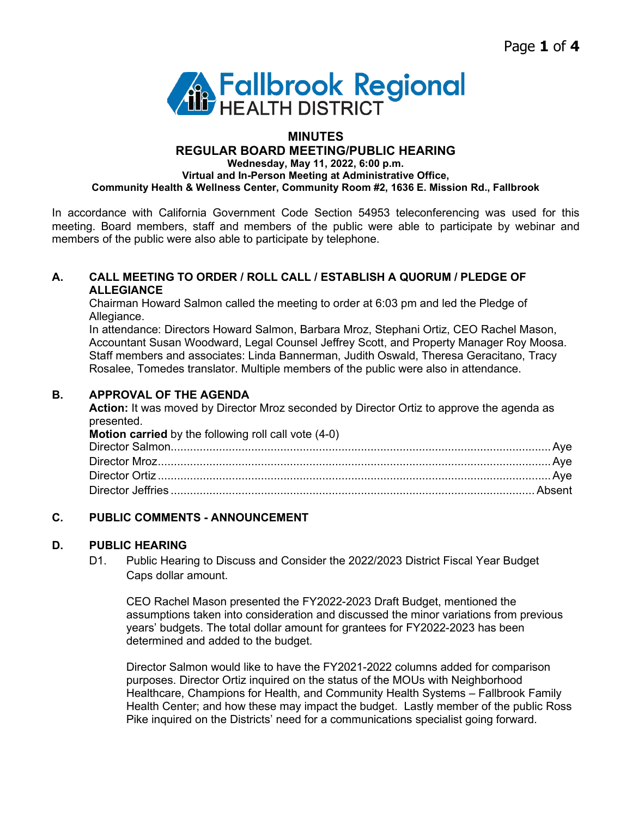

# **MINUTES**

**REGULAR BOARD MEETING/PUBLIC HEARING**

**Wednesday, May 11, 2022, 6:00 p.m.**

**Virtual and In-Person Meeting at Administrative Office, Community Health & Wellness Center, Community Room #2, 1636 E. Mission Rd., Fallbrook**

In accordance with California Government Code Section 54953 teleconferencing was used for this meeting. Board members, staff and members of the public were able to participate by webinar and members of the public were also able to participate by telephone.

#### **A. CALL MEETING TO ORDER / ROLL CALL / ESTABLISH A QUORUM / PLEDGE OF ALLEGIANCE**

Chairman Howard Salmon called the meeting to order at 6:03 pm and led the Pledge of Allegiance.

In attendance: Directors Howard Salmon, Barbara Mroz, Stephani Ortiz, CEO Rachel Mason, Accountant Susan Woodward, Legal Counsel Jeffrey Scott, and Property Manager Roy Moosa. Staff members and associates: Linda Bannerman, Judith Oswald, Theresa Geracitano, Tracy Rosalee, Tomedes translator. Multiple members of the public were also in attendance.

### **B. APPROVAL OF THE AGENDA**

**Action:** It was moved by Director Mroz seconded by Director Ortiz to approve the agenda as presented.

| <b>Motion carried</b> by the following roll call vote (4-0) |  |
|-------------------------------------------------------------|--|
|                                                             |  |
|                                                             |  |
|                                                             |  |
|                                                             |  |

# **C. PUBLIC COMMENTS - ANNOUNCEMENT**

### **D. PUBLIC HEARING**

D1. Public Hearing to Discuss and Consider the 2022/2023 District Fiscal Year Budget Caps dollar amount.

CEO Rachel Mason presented the FY2022-2023 Draft Budget, mentioned the assumptions taken into consideration and discussed the minor variations from previous years' budgets. The total dollar amount for grantees for FY2022-2023 has been determined and added to the budget.

Director Salmon would like to have the FY2021-2022 columns added for comparison purposes. Director Ortiz inquired on the status of the MOUs with Neighborhood Healthcare, Champions for Health, and Community Health Systems – Fallbrook Family Health Center; and how these may impact the budget. Lastly member of the public Ross Pike inquired on the Districts' need for a communications specialist going forward.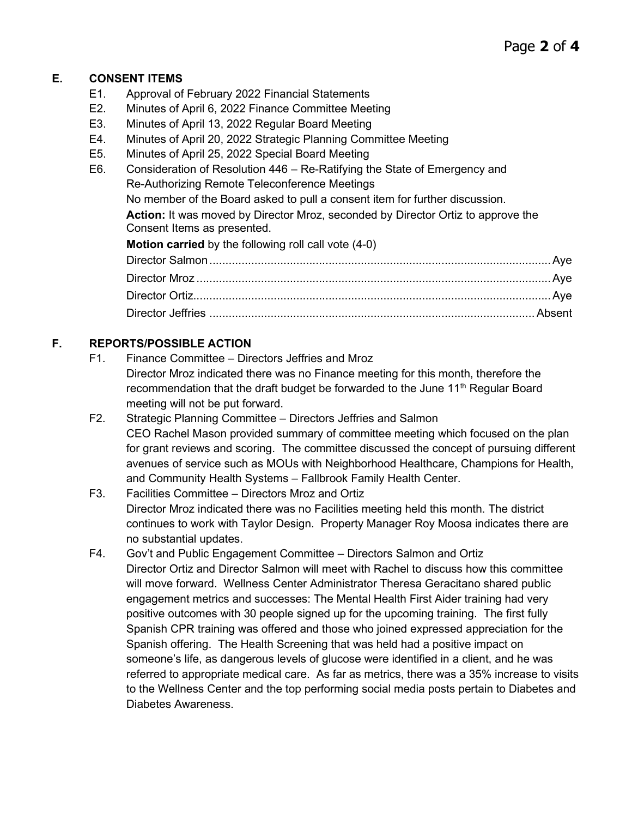### **E. CONSENT ITEMS**

- E1. Approval of February 2022 Financial Statements
- E2. Minutes of April 6, 2022 Finance Committee Meeting
- E3. Minutes of April 13, 2022 Regular Board Meeting
- E4. Minutes of April 20, 2022 Strategic Planning Committee Meeting
- E5. Minutes of April 25, 2022 Special Board Meeting
- E6. Consideration of Resolution 446 Re-Ratifying the State of Emergency and Re-Authorizing Remote Teleconference Meetings No member of the Board asked to pull a consent item for further discussion.

**Action:** It was moved by Director Mroz, seconded by Director Ortiz to approve the Consent Items as presented.

**Motion carried** by the following roll call vote (4-0)

# **F. REPORTS/POSSIBLE ACTION**

- F1. Finance Committee Directors Jeffries and Mroz Director Mroz indicated there was no Finance meeting for this month, therefore the recommendation that the draft budget be forwarded to the June 11<sup>th</sup> Regular Board meeting will not be put forward.
- F2. Strategic Planning Committee Directors Jeffries and Salmon CEO Rachel Mason provided summary of committee meeting which focused on the plan for grant reviews and scoring. The committee discussed the concept of pursuing different avenues of service such as MOUs with Neighborhood Healthcare, Champions for Health, and Community Health Systems – Fallbrook Family Health Center.
- F3. Facilities Committee Directors Mroz and Ortiz Director Mroz indicated there was no Facilities meeting held this month. The district continues to work with Taylor Design. Property Manager Roy Moosa indicates there are no substantial updates.
- F4. Gov't and Public Engagement Committee Directors Salmon and Ortiz Director Ortiz and Director Salmon will meet with Rachel to discuss how this committee will move forward. Wellness Center Administrator Theresa Geracitano shared public engagement metrics and successes: The Mental Health First Aider training had very positive outcomes with 30 people signed up for the upcoming training. The first fully Spanish CPR training was offered and those who joined expressed appreciation for the Spanish offering. The Health Screening that was held had a positive impact on someone's life, as dangerous levels of glucose were identified in a client, and he was referred to appropriate medical care. As far as metrics, there was a 35% increase to visits to the Wellness Center and the top performing social media posts pertain to Diabetes and Diabetes Awareness.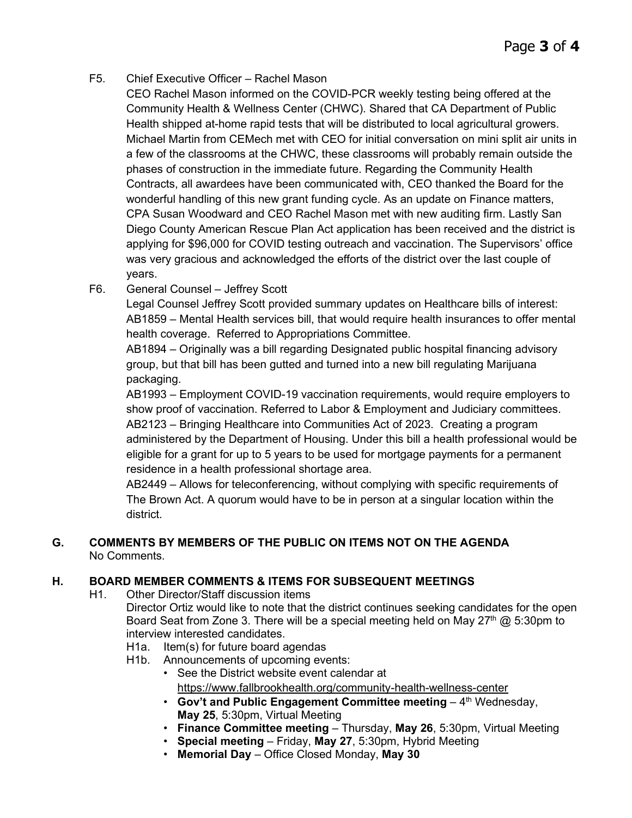- F5. Chief Executive Officer Rachel Mason
	- CEO Rachel Mason informed on the COVID-PCR weekly testing being offered at the Community Health & Wellness Center (CHWC). Shared that CA Department of Public Health shipped at-home rapid tests that will be distributed to local agricultural growers. Michael Martin from CEMech met with CEO for initial conversation on mini split air units in a few of the classrooms at the CHWC, these classrooms will probably remain outside the phases of construction in the immediate future. Regarding the Community Health Contracts, all awardees have been communicated with, CEO thanked the Board for the wonderful handling of this new grant funding cycle. As an update on Finance matters, CPA Susan Woodward and CEO Rachel Mason met with new auditing firm. Lastly San Diego County American Rescue Plan Act application has been received and the district is applying for \$96,000 for COVID testing outreach and vaccination. The Supervisors' office was very gracious and acknowledged the efforts of the district over the last couple of years.
- F6. General Counsel Jeffrey Scott

Legal Counsel Jeffrey Scott provided summary updates on Healthcare bills of interest: AB1859 – Mental Health services bill, that would require health insurances to offer mental health coverage. Referred to Appropriations Committee.

AB1894 – Originally was a bill regarding Designated public hospital financing advisory group, but that bill has been gutted and turned into a new bill regulating Marijuana packaging.

AB1993 – Employment COVID-19 vaccination requirements, would require employers to show proof of vaccination. Referred to Labor & Employment and Judiciary committees. AB2123 – Bringing Healthcare into Communities Act of 2023. Creating a program administered by the Department of Housing. Under this bill a health professional would be eligible for a grant for up to 5 years to be used for mortgage payments for a permanent residence in a health professional shortage area.

AB2449 – Allows for teleconferencing, without complying with specific requirements of The Brown Act. A quorum would have to be in person at a singular location within the district.

#### **G. COMMENTS BY MEMBERS OF THE PUBLIC ON ITEMS NOT ON THE AGENDA** No Comments.

#### **H. BOARD MEMBER COMMENTS & ITEMS FOR SUBSEQUENT MEETINGS**

H1. Other Director/Staff discussion items

Director Ortiz would like to note that the district continues seeking candidates for the open Board Seat from Zone 3. There will be a special meeting held on May  $27<sup>th</sup>$  @ 5:30pm to interview interested candidates.

- H1a. Item(s) for future board agendas
- H1b. Announcements of upcoming events:
	- See the District website event calendar at <https://www.fallbrookhealth.org/community-health-wellness-center>
	- Gov't and Public Engagement Committee meeting 4<sup>th</sup> Wednesday, **May 25**, 5:30pm, Virtual Meeting
	- **Finance Committee meeting** Thursday, **May 26**, 5:30pm, Virtual Meeting
	- **Special meeting** Friday, **May 27**, 5:30pm, Hybrid Meeting
	- **Memorial Day** Office Closed Monday, **May 30**